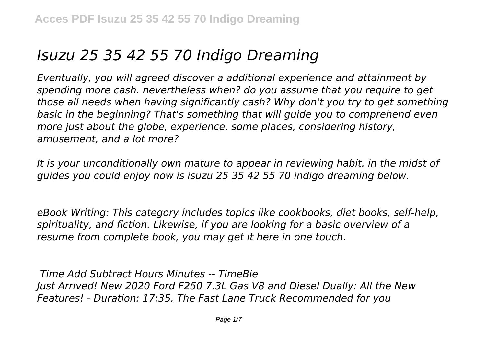# *Isuzu 25 35 42 55 70 Indigo Dreaming*

*Eventually, you will agreed discover a additional experience and attainment by spending more cash. nevertheless when? do you assume that you require to get those all needs when having significantly cash? Why don't you try to get something basic in the beginning? That's something that will guide you to comprehend even more just about the globe, experience, some places, considering history, amusement, and a lot more?*

*It is your unconditionally own mature to appear in reviewing habit. in the midst of guides you could enjoy now is isuzu 25 35 42 55 70 indigo dreaming below.*

*eBook Writing: This category includes topics like cookbooks, diet books, self-help, spirituality, and fiction. Likewise, if you are looking for a basic overview of a resume from complete book, you may get it here in one touch.*

*Time Add Subtract Hours Minutes -- TimeBie Just Arrived! New 2020 Ford F250 7.3L Gas V8 and Diesel Dually: All the New Features! - Duration: 17:35. The Fast Lane Truck Recommended for you*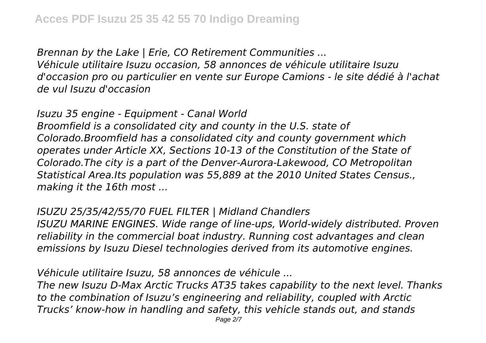*Brennan by the Lake | Erie, CO Retirement Communities ...*

*Véhicule utilitaire Isuzu occasion, 58 annonces de véhicule utilitaire Isuzu d'occasion pro ou particulier en vente sur Europe Camions - le site dédié à l'achat de vul Isuzu d'occasion*

*Isuzu 35 engine - Equipment - Canal World Broomfield is a consolidated city and county in the U.S. state of Colorado.Broomfield has a consolidated city and county government which operates under Article XX, Sections 10-13 of the Constitution of the State of Colorado.The city is a part of the Denver-Aurora-Lakewood, CO Metropolitan Statistical Area.Its population was 55,889 at the 2010 United States Census., making it the 16th most ...*

## *ISUZU 25/35/42/55/70 FUEL FILTER | Midland Chandlers*

*ISUZU MARINE ENGINES. Wide range of line-ups, World-widely distributed. Proven reliability in the commercial boat industry. Running cost advantages and clean emissions by Isuzu Diesel technologies derived from its automotive engines.*

*Véhicule utilitaire Isuzu, 58 annonces de véhicule ...*

*The new Isuzu D-Max Arctic Trucks AT35 takes capability to the next level. Thanks to the combination of Isuzu's engineering and reliability, coupled with Arctic Trucks' know-how in handling and safety, this vehicle stands out, and stands*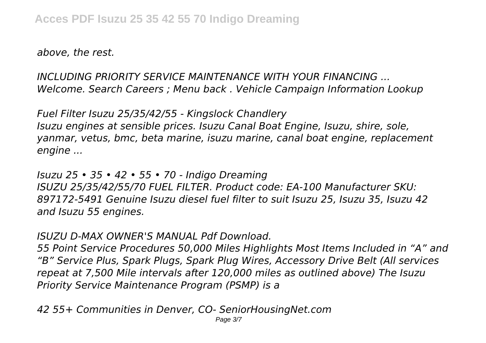*above, the rest.*

*INCLUDING PRIORITY SERVICE MAINTENANCE WITH YOUR FINANCING ... Welcome. Search Careers ; Menu back . Vehicle Campaign Information Lookup*

*Fuel Filter Isuzu 25/35/42/55 - Kingslock Chandlery Isuzu engines at sensible prices. Isuzu Canal Boat Engine, Isuzu, shire, sole, yanmar, vetus, bmc, beta marine, isuzu marine, canal boat engine, replacement engine ...*

*Isuzu 25 • 35 • 42 • 55 • 70 - Indigo Dreaming ISUZU 25/35/42/55/70 FUEL FILTER. Product code: EA-100 Manufacturer SKU: 897172-5491 Genuine Isuzu diesel fuel filter to suit Isuzu 25, Isuzu 35, Isuzu 42 and Isuzu 55 engines.*

## *ISUZU D-MAX OWNER'S MANUAL Pdf Download.*

*55 Point Service Procedures 50,000 Miles Highlights Most Items Included in "A" and "B" Service Plus, Spark Plugs, Spark Plug Wires, Accessory Drive Belt (All services repeat at 7,500 Mile intervals after 120,000 miles as outlined above) The Isuzu Priority Service Maintenance Program (PSMP) is a*

*42 55+ Communities in Denver, CO- SeniorHousingNet.com*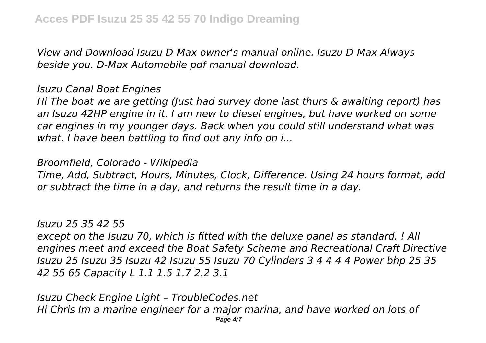*View and Download Isuzu D-Max owner's manual online. Isuzu D-Max Always beside you. D-Max Automobile pdf manual download.*

*Isuzu Canal Boat Engines*

*Hi The boat we are getting (Just had survey done last thurs & awaiting report) has an Isuzu 42HP engine in it. I am new to diesel engines, but have worked on some car engines in my younger days. Back when you could still understand what was what. I have been battling to find out any info on i...*

*Broomfield, Colorado - Wikipedia*

*Time, Add, Subtract, Hours, Minutes, Clock, Difference. Using 24 hours format, add or subtract the time in a day, and returns the result time in a day.*

*Isuzu 25 35 42 55*

*except on the Isuzu 70, which is fitted with the deluxe panel as standard. ! All engines meet and exceed the Boat Safety Scheme and Recreational Craft Directive Isuzu 25 Isuzu 35 Isuzu 42 Isuzu 55 Isuzu 70 Cylinders 3 4 4 4 4 Power bhp 25 35 42 55 65 Capacity L 1.1 1.5 1.7 2.2 3.1*

*Isuzu Check Engine Light – TroubleCodes.net Hi Chris Im a marine engineer for a major marina, and have worked on lots of* Page 4/7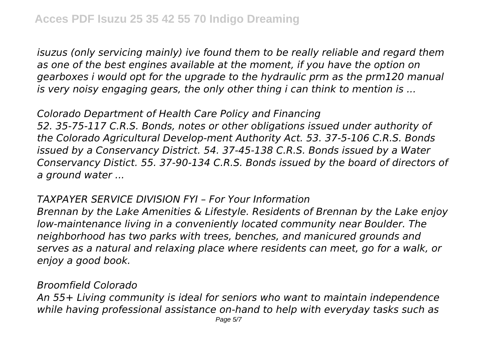*isuzus (only servicing mainly) ive found them to be really reliable and regard them as one of the best engines available at the moment, if you have the option on gearboxes i would opt for the upgrade to the hydraulic prm as the prm120 manual is very noisy engaging gears, the only other thing i can think to mention is ...*

*Colorado Department of Health Care Policy and Financing 52. 35-75-117 C.R.S. Bonds, notes or other obligations issued under authority of the Colorado Agricultural Develop-ment Authority Act. 53. 37-5-106 C.R.S. Bonds issued by a Conservancy District. 54. 37-45-138 C.R.S. Bonds issued by a Water Conservancy Distict. 55. 37-90-134 C.R.S. Bonds issued by the board of directors of a ground water ...*

#### *TAXPAYER SERVICE DIVISION FYI – For Your Information*

*Brennan by the Lake Amenities & Lifestyle. Residents of Brennan by the Lake enjoy low-maintenance living in a conveniently located community near Boulder. The neighborhood has two parks with trees, benches, and manicured grounds and serves as a natural and relaxing place where residents can meet, go for a walk, or enjoy a good book.*

#### *Broomfield Colorado*

*An 55+ Living community is ideal for seniors who want to maintain independence while having professional assistance on-hand to help with everyday tasks such as*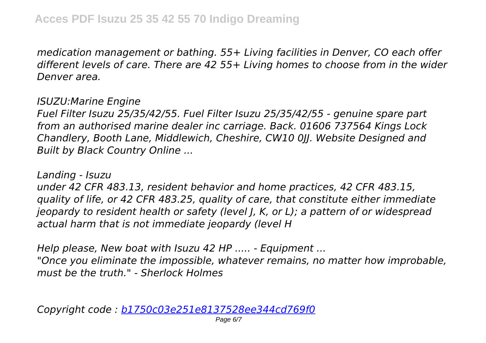*medication management or bathing. 55+ Living facilities in Denver, CO each offer different levels of care. There are 42 55+ Living homes to choose from in the wider Denver area.*

#### *ISUZU:Marine Engine*

*Fuel Filter Isuzu 25/35/42/55. Fuel Filter Isuzu 25/35/42/55 - genuine spare part from an authorised marine dealer inc carriage. Back. 01606 737564 Kings Lock Chandlery, Booth Lane, Middlewich, Cheshire, CW10 0JJ. Website Designed and Built by Black Country Online ...*

*Landing - Isuzu under 42 CFR 483.13, resident behavior and home practices, 42 CFR 483.15, quality of life, or 42 CFR 483.25, quality of care, that constitute either immediate jeopardy to resident health or safety (level J, K, or L); a pattern of or widespread actual harm that is not immediate jeopardy (level H*

*Help please, New boat with Isuzu 42 HP ..... - Equipment ... "Once you eliminate the impossible, whatever remains, no matter how improbable, must be the truth." - Sherlock Holmes*